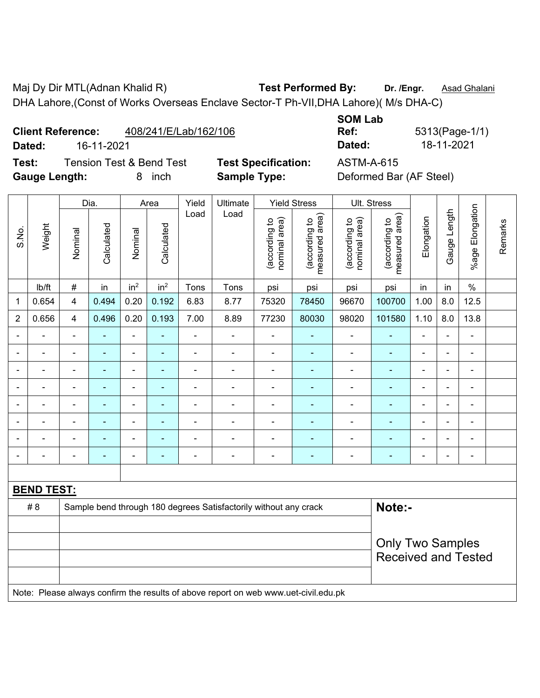Maj Dy Dir MTL(Adnan Khalid R) **Test Performed By:** Dr. /Engr. **Asad Ghalani** DHA Lahore,(Const of Works Overseas Enclave Sector-T Ph-VII,DHA Lahore)( M/s DHA-C)

**Client Reference:** 408/241/E/Lab/162/106

**Test:** Tension Test & Bend Test **Test Specification:** ASTM-A-615 Gauge Length: 8 inch **Sample Type:** Deformed Bar (AF Steel)

**SOM Lab Ref:** 5313(Page-1/1)

|                |                   |                | Dia.                                                                                |                          | Area            | Yield          | Ultimate                                                         |                                | <b>Yield Stress</b>             |                                | Ult. Stress                     |                          |                |                 |         |  |
|----------------|-------------------|----------------|-------------------------------------------------------------------------------------|--------------------------|-----------------|----------------|------------------------------------------------------------------|--------------------------------|---------------------------------|--------------------------------|---------------------------------|--------------------------|----------------|-----------------|---------|--|
| S.No.          | Weight            | Nominal        | Calculated                                                                          | Nominal                  | Calculated      | Load           | Load                                                             | nominal area)<br>(according to | (according to<br>measured area) | (according to<br>nominal area) | (according to<br>measured area) | Elongation               | Gauge Length   | %age Elongation | Remarks |  |
|                | lb/ft             | $\#$           | in                                                                                  | in <sup>2</sup>          | in <sup>2</sup> | Tons           | Tons                                                             | psi                            | psi                             | psi                            | psi                             | in                       | in             | $\frac{0}{0}$   |         |  |
| $\mathbf 1$    | 0.654             | 4              | 0.494                                                                               | 0.20                     | 0.192           | 6.83           | 8.77                                                             | 75320                          | 78450                           | 96670                          | 100700                          | 1.00                     | 8.0            | 12.5            |         |  |
| $\overline{2}$ | 0.656             | $\overline{4}$ | 0.496                                                                               | 0.20                     | 0.193           | 7.00           | 8.89                                                             | 77230                          | 80030                           | 98020                          | 101580                          | 1.10                     | 8.0            | 13.8            |         |  |
|                |                   |                |                                                                                     |                          |                 |                |                                                                  | ä,                             |                                 |                                |                                 | ÷                        |                | ۳               |         |  |
|                |                   |                | $\blacksquare$                                                                      | $\blacksquare$           | $\blacksquare$  |                | $\blacksquare$                                                   | $\blacksquare$                 |                                 | $\overline{\phantom{0}}$       | $\blacksquare$                  | $\overline{\phantom{a}}$ | $\blacksquare$ | $\blacksquare$  |         |  |
|                |                   | $\blacksquare$ | ٠                                                                                   | ÷                        | $\blacksquare$  | $\blacksquare$ | $\blacksquare$                                                   | $\blacksquare$                 | $\blacksquare$                  | $\blacksquare$                 | $\blacksquare$                  | $\blacksquare$           | $\blacksquare$ | ۰               |         |  |
|                |                   | $\blacksquare$ | ٠                                                                                   | $\overline{\phantom{a}}$ |                 | $\blacksquare$ | $\blacksquare$                                                   | $\blacksquare$                 |                                 | $\overline{\phantom{0}}$       | $\blacksquare$                  | $\blacksquare$           | $\blacksquare$ | ÷               |         |  |
|                | ÷                 | ä,             | ä,                                                                                  | ÷,                       | $\blacksquare$  | ä,             | $\blacksquare$                                                   | $\blacksquare$                 | $\blacksquare$                  | ÷,                             | ä,                              | $\blacksquare$           | ä,             | ۰               |         |  |
|                |                   |                | Ē,<br>$\overline{\phantom{0}}$                                                      |                          |                 | ä,             |                                                                  |                                |                                 |                                |                                 | $\blacksquare$           |                |                 |         |  |
|                |                   |                |                                                                                     |                          |                 |                |                                                                  | $\blacksquare$                 |                                 |                                |                                 |                          |                |                 |         |  |
|                |                   |                |                                                                                     | $\overline{\phantom{a}}$ |                 |                | $\blacksquare$                                                   |                                | $\blacksquare$                  | $\overline{\phantom{0}}$       | $\blacksquare$                  |                          |                | $\blacksquare$  |         |  |
|                |                   |                |                                                                                     |                          |                 |                |                                                                  |                                |                                 |                                |                                 |                          |                |                 |         |  |
|                | <b>BEND TEST:</b> |                |                                                                                     |                          |                 |                |                                                                  |                                |                                 |                                |                                 |                          |                |                 |         |  |
|                | #8                |                |                                                                                     |                          |                 |                | Sample bend through 180 degrees Satisfactorily without any crack |                                |                                 |                                | Note:-                          |                          |                |                 |         |  |
|                |                   |                |                                                                                     |                          |                 |                |                                                                  |                                |                                 |                                |                                 |                          |                |                 |         |  |
|                |                   |                |                                                                                     |                          |                 |                |                                                                  |                                |                                 |                                | <b>Only Two Samples</b>         |                          |                |                 |         |  |
|                |                   |                |                                                                                     |                          |                 |                |                                                                  |                                |                                 |                                | <b>Received and Tested</b>      |                          |                |                 |         |  |
|                |                   |                |                                                                                     |                          |                 |                |                                                                  |                                |                                 |                                |                                 |                          |                |                 |         |  |
|                |                   |                | Note: Please always confirm the results of above report on web www.uet-civil.edu.pk |                          |                 |                |                                                                  |                                |                                 |                                |                                 |                          |                |                 |         |  |

**Dated:** 16-11-2021 **Dated:** 18-11-2021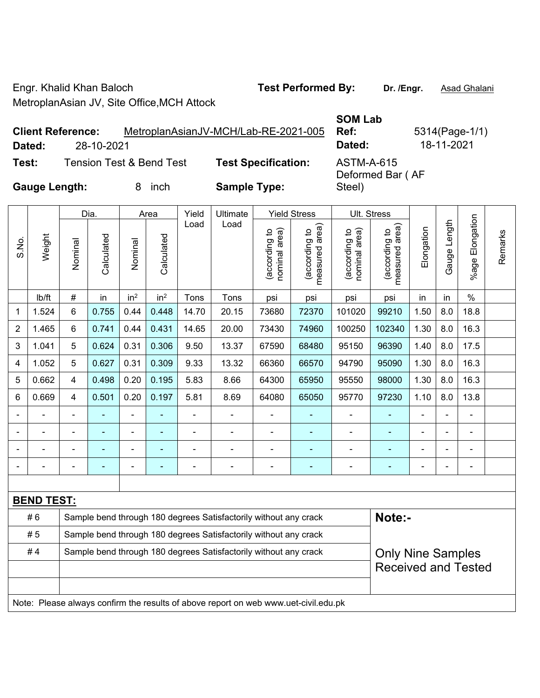Engr. Khalid Khan Baloch **Test Performed By: Dr. /Engr.** Asad Ghalani MetroplanAsian JV, Site Office,MCH Attock

**SOM Lab** 

Steel)

Deformed Bar ( AF

**Ref:** 5314(Page-1/1)

**Client Reference:** MetroplanAsianJV-MCH/Lab-RE-2021-005 **Dated:** 28-10-2021 **Dated:** 18-11-2021

**Test:** Tension Test & Bend Test **Test Specification:** ASTM-A-615

**Gauge Length:** 8 inch **Sample Type:** 

Dia. | Area | Yield | Ultimate | Yield Stress | Ult. Stress %age Elongation %age Elongation Gauge Length Load Load Gauge Length (according to<br>measured area) measured area) (according to<br>measured area) measured area) (according to<br>nominal area) (according to<br>nominal area) nominal area) nominal area) Elongation Elongation (according to (according to (according to (according to Remarks Remarks **Calculated Calculated** Weight S.No. Calculated Calculated Nominal Nominal Nominal Nominal | lb/ft | # | in | in<sup>2</sup> | in<sup>2</sup> | Tons | Tons | psi | psi | psi | psi | in | in | % 1 | 1.524 | 6 | 0.755 | 0.44 | 0.448 | 14.70 | 20.15 | 73680 | 72370 | 101020 | 99210 | 1.50 | 8.0 | 18.8 2 | 1.465 | 6 | 0.741 | 0.44 | 0.431 | 14.65 | 20.00 | 73430 | 74960 | 100250 | 102340 | 1.30 | 8.0 | 16.3 3 | 1.041 | 5 | 0.624 | 0.31 | 0.306 | 9.50 | 13.37 | 67590 | 68480 | 95150 | 96390 | 1.40 | 8.0 | 17.5 4 | 1.052 | 5 | 0.627 | 0.31 | 0.309 | 9.33 | 13.32 | 66360 | 66570 | 94790 | 95090 | 1.30 | 8.0 | 16.3 5 | 0.662 | 4 | 0.498 | 0.20 | 0.195 | 5.83 | 8.66 | 64300 | 65950 | 95550 | 98000 | 1.30 | 8.0 | 16.3 6 | 0.669 | 4 | 0.501 | 0.20 | 0.197 | 5.81 | 8.69 | 64080 | 65050 | 95770 | 97230 | 1.10 | 8.0 | 13.8 - - - - - - - - - - - - - - - - - - - - - - - - - - - - - - - - - - - - - - - - - - - - - - - - - - - - - - - - - - - - **BEND TEST:**  # 6 Sample bend through 180 degrees Satisfactorily without any crack **Note:- Note:**  $\# 5$  Sample bend through 180 degrees Satisfactorily without any crack #4 Sample bend through 180 degrees Satisfactorily without any crack Only Nine Samples Received and Tested

Note: Please always confirm the results of above report on web www.uet-civil.edu.pk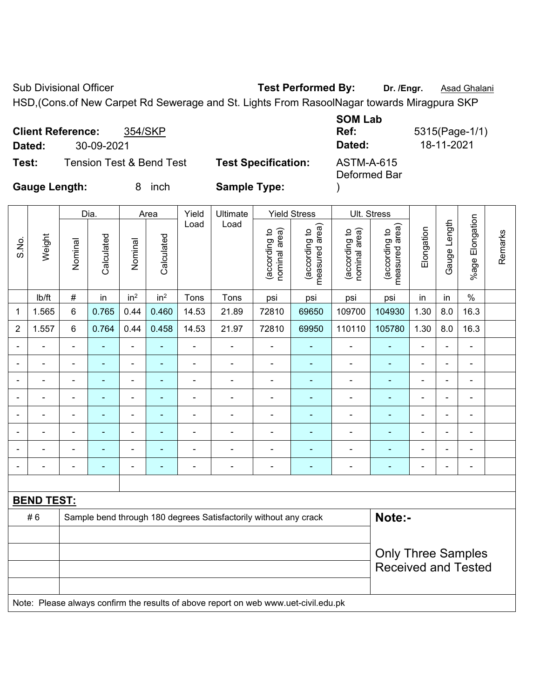Sub Divisional Officer **Test Performed By:** Dr. /Engr. **Asad Ghalani** 

HSD,(Cons.of New Carpet Rd Sewerage and St. Lights From RasoolNagar towards Miragpura SKP **SOM Lab** 

|                      | <b>Client Reference:</b> | 354/SKP                             |                            | <b>SOM LAD</b><br>Ref:            | 5315(Page-1/1) |
|----------------------|--------------------------|-------------------------------------|----------------------------|-----------------------------------|----------------|
| Dated:               | 30-09-2021               |                                     |                            | Dated:                            | 18-11-2021     |
| Test:                |                          | <b>Tension Test &amp; Bend Test</b> | <b>Test Specification:</b> | <b>ASTM-A-615</b><br>Deformed Bar |                |
| <b>Gauge Length:</b> |                          | inch                                | <b>Sample Type:</b>        |                                   |                |

|                |                   |                                                                                     | Dia.                |                          | Area            | Yield          | <b>Ultimate</b>                                                  |                                | <b>Yield Stress</b>             |                                | Ult. Stress                     |                |                |                 |         |
|----------------|-------------------|-------------------------------------------------------------------------------------|---------------------|--------------------------|-----------------|----------------|------------------------------------------------------------------|--------------------------------|---------------------------------|--------------------------------|---------------------------------|----------------|----------------|-----------------|---------|
| S.No.          | Weight            | Nominal                                                                             | Calculated          | Nominal                  | Calculated      | Load           | Load                                                             | nominal area)<br>(according to | (according to<br>measured area) | nominal area)<br>(according to | (according to<br>measured area) | Elongation     | Gauge Length   | %age Elongation | Remarks |
|                | lb/ft             | #                                                                                   | in                  | in <sup>2</sup>          | in <sup>2</sup> | Tons           | Tons                                                             | psi                            | psi                             | psi                            | psi                             | in             | in             | $\%$            |         |
| 1              | 1.565             | 6                                                                                   | 0.765               | 0.44                     | 0.460           | 14.53          | 21.89                                                            | 72810                          | 69650                           | 109700                         | 104930                          | 1.30           | 8.0            | 16.3            |         |
| $\overline{2}$ | 1.557             | 6                                                                                   | 0.764               | 0.44                     | 0.458           | 14.53          | 21.97                                                            | 72810                          | 69950                           | 110110                         | 105780                          | 1.30           | 8.0            | 16.3            |         |
| $\blacksquare$ | $\blacksquare$    | $\blacksquare$                                                                      | $\blacksquare$      | ÷,                       |                 | $\blacksquare$ | ä,                                                               | ä,                             | ä,                              | $\blacksquare$                 | ÷                               | ä,             | $\blacksquare$ | $\blacksquare$  |         |
|                | $\blacksquare$    | $\blacksquare$                                                                      | ÷,                  | $\blacksquare$           | ٠               | $\blacksquare$ | $\blacksquare$                                                   | $\blacksquare$                 | $\blacksquare$                  | $\blacksquare$                 | $\blacksquare$                  | ÷              | $\blacksquare$ | $\blacksquare$  |         |
|                | $\blacksquare$    | $\blacksquare$                                                                      | ÷,                  | $\blacksquare$           |                 | $\blacksquare$ | ä,                                                               | $\blacksquare$                 |                                 | $\blacksquare$                 | $\blacksquare$                  | L,             |                | $\blacksquare$  |         |
|                | $\blacksquare$    |                                                                                     | ÷<br>$\blacksquare$ |                          |                 |                |                                                                  |                                |                                 |                                |                                 |                |                | $\sim$          |         |
|                | $\blacksquare$    |                                                                                     |                     | $\blacksquare$           |                 |                | ÷                                                                | $\blacksquare$                 |                                 | ä,                             |                                 | L,             |                |                 |         |
| $\blacksquare$ | $\blacksquare$    |                                                                                     |                     | $\overline{\phantom{0}}$ |                 |                | ÷                                                                | $\blacksquare$                 |                                 |                                | $\blacksquare$                  | L,             |                | $\blacksquare$  |         |
| ÷              | $\blacksquare$    | ä,                                                                                  |                     | $\blacksquare$           |                 |                | ä,                                                               | $\blacksquare$                 |                                 | ä,                             |                                 | Ē,             | ÷              | $\blacksquare$  |         |
| ٠              | $\blacksquare$    | $\blacksquare$                                                                      | ۰                   | $\blacksquare$           | $\blacksquare$  | $\blacksquare$ | $\blacksquare$                                                   | $\blacksquare$                 | $\blacksquare$                  | $\overline{\phantom{a}}$       | $\blacksquare$                  | $\blacksquare$ |                | $\blacksquare$  |         |
|                |                   |                                                                                     |                     |                          |                 |                |                                                                  |                                |                                 |                                |                                 |                |                |                 |         |
|                | <b>BEND TEST:</b> |                                                                                     |                     |                          |                 |                |                                                                  |                                |                                 |                                |                                 |                |                |                 |         |
|                | #6                |                                                                                     |                     |                          |                 |                | Sample bend through 180 degrees Satisfactorily without any crack |                                |                                 |                                | Note:-                          |                |                |                 |         |
|                |                   |                                                                                     |                     |                          |                 |                |                                                                  |                                |                                 |                                |                                 |                |                |                 |         |
|                |                   | <b>Only Three Samples</b><br><b>Received and Tested</b>                             |                     |                          |                 |                |                                                                  |                                |                                 |                                |                                 |                |                |                 |         |
|                |                   | Note: Please always confirm the results of above report on web www.uet-civil.edu.pk |                     |                          |                 |                |                                                                  |                                |                                 |                                |                                 |                |                |                 |         |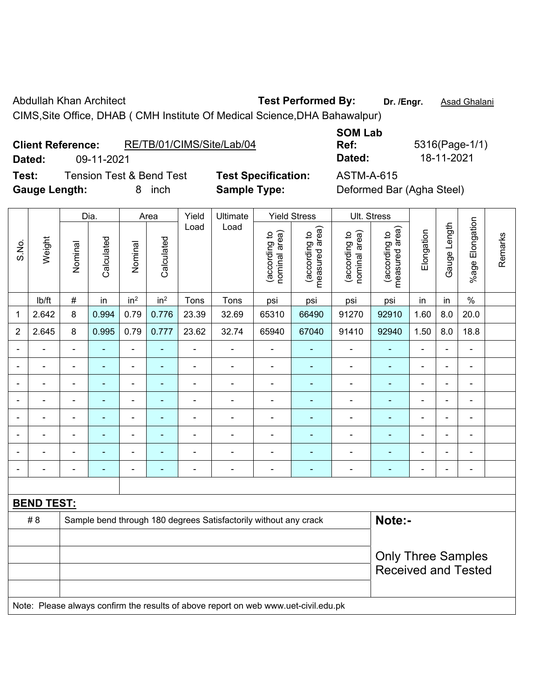Abdullah Khan Architect **Test Performed By:** Dr. /Engr. **Asad Ghalani** 

CIMS,Site Office, DHAB ( CMH Institute Of Medical Science,DHA Bahawalpur)

| <b>Client Reference:</b> |            | RE/TB/01/CIMS/Site/Lab/04 |                            | Ref:       | 5316(Page-1/              |
|--------------------------|------------|---------------------------|----------------------------|------------|---------------------------|
| Dated:                   | 09-11-2021 |                           |                            | Dated:     | 18-11-2021                |
| Test:                    |            | Tension Test & Bend Test  | <b>Test Specification:</b> | ASTM-A-615 |                           |
| <b>Gauge Length:</b>     |            | inch                      | <b>Sample Type:</b>        |            | Deformed Bar (Agha Steel) |

**SOM Lab** 

**Ref:** 5316(Page-1/1)

|                |                   |                            | Dia.       |                          | Area            | Yield          | Ultimate                                                                            |                                | <b>Yield Stress</b>             |                                | Ult. Stress                     |                |                          |                              |         |  |
|----------------|-------------------|----------------------------|------------|--------------------------|-----------------|----------------|-------------------------------------------------------------------------------------|--------------------------------|---------------------------------|--------------------------------|---------------------------------|----------------|--------------------------|------------------------------|---------|--|
| S.No.          | Weight            | Nominal                    | Calculated | Nominal                  | Calculated      | Load           | Load                                                                                | nominal area)<br>(according to | (according to<br>measured area) | (according to<br>nominal area) | (according to<br>measured area) | Elongation     | Gauge Length             | %age Elongation              | Remarks |  |
|                | lb/ft             | $\#$                       | in         | in <sup>2</sup>          | in <sup>2</sup> | Tons           | Tons                                                                                | psi                            | psi                             | psi                            | psi                             | in             | in                       | $\%$                         |         |  |
| 1              | 2.642             | $\,8\,$                    | 0.994      | 0.79                     | 0.776           | 23.39          | 32.69                                                                               | 65310                          | 66490                           | 91270                          | 92910                           | 1.60           | 8.0                      | 20.0                         |         |  |
| $\overline{2}$ | 2.645             | 8                          | 0.995      | 0.79                     | 0.777           | 23.62          | 32.74                                                                               | 65940                          | 67040                           | 91410                          | 92940                           | 1.50           | 8.0                      | 18.8                         |         |  |
|                |                   |                            |            | $\blacksquare$           |                 |                | $\overline{a}$                                                                      | $\blacksquare$                 |                                 |                                |                                 |                |                          | $\overline{a}$               |         |  |
|                |                   |                            |            | $\blacksquare$           |                 |                | $\blacksquare$                                                                      | $\blacksquare$                 |                                 | $\blacksquare$                 |                                 |                |                          | $\blacksquare$               |         |  |
|                |                   |                            |            | ÷                        | ۰               | $\blacksquare$ | $\blacksquare$                                                                      | $\blacksquare$                 | ۰                               | $\blacksquare$                 | ٠                               | $\blacksquare$ | $\blacksquare$           | $\blacksquare$               |         |  |
|                |                   | $\blacksquare$             | ÷          | ä,                       | $\blacksquare$  | $\blacksquare$ | $\blacksquare$                                                                      | $\blacksquare$                 | ۰                               | ÷,                             | $\blacksquare$                  | $\blacksquare$ | $\blacksquare$           | $\qquad \qquad \blacksquare$ |         |  |
|                | ÷                 | $\blacksquare$             | ÷          | $\overline{\phantom{0}}$ | ۰               | $\blacksquare$ | $\blacksquare$                                                                      | $\blacksquare$                 | ÷                               | $\blacksquare$                 | ٠                               | $\blacksquare$ | $\overline{\phantom{0}}$ | $\qquad \qquad \blacksquare$ |         |  |
|                | ÷                 | $\blacksquare$             |            | ÷,                       | -               | $\blacksquare$ | $\blacksquare$                                                                      | $\blacksquare$                 | ÷                               | $\blacksquare$                 | ٠                               |                |                          | ÷,                           |         |  |
|                |                   |                            |            |                          |                 |                |                                                                                     |                                |                                 |                                |                                 |                |                          | $\blacksquare$               |         |  |
|                |                   |                            |            |                          |                 |                |                                                                                     | $\blacksquare$                 |                                 |                                |                                 |                |                          | ÷                            |         |  |
|                |                   |                            |            |                          |                 |                |                                                                                     |                                |                                 |                                |                                 |                |                          |                              |         |  |
|                | <b>BEND TEST:</b> |                            |            |                          |                 |                |                                                                                     |                                |                                 |                                |                                 |                |                          |                              |         |  |
|                | # 8               |                            |            |                          |                 |                | Sample bend through 180 degrees Satisfactorily without any crack                    |                                |                                 |                                | Note:-                          |                |                          |                              |         |  |
|                |                   |                            |            |                          |                 |                |                                                                                     |                                |                                 |                                |                                 |                |                          |                              |         |  |
|                |                   |                            |            |                          |                 |                |                                                                                     |                                |                                 |                                | <b>Only Three Samples</b>       |                |                          |                              |         |  |
|                |                   | <b>Received and Tested</b> |            |                          |                 |                |                                                                                     |                                |                                 |                                |                                 |                |                          |                              |         |  |
|                |                   |                            |            |                          |                 |                | Note: Please always confirm the results of above report on web www.uet-civil.edu.pk |                                |                                 |                                |                                 |                |                          |                              |         |  |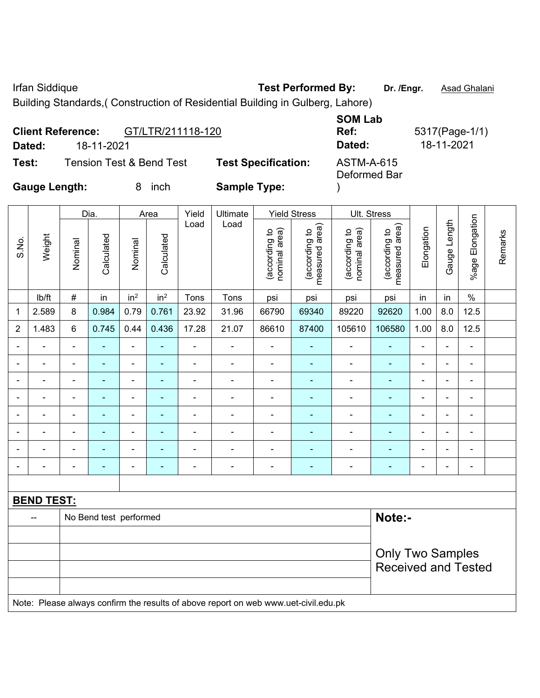Irfan Siddique **Test Performed By:** Dr. /Engr. **Asad Ghalani** 

Building Standards,( Construction of Residential Building in Gulberg, Lahore)

| <b>Client Reference:</b> |                                     | GT/LTR/211118-120 |                            | <b>SOM Lab</b><br>Ref:            | 5317(Page-1/1) |
|--------------------------|-------------------------------------|-------------------|----------------------------|-----------------------------------|----------------|
| Dated:                   | 18-11-2021                          |                   |                            | Dated:                            | 18-11-2021     |
| Test:                    | <b>Tension Test &amp; Bend Test</b> |                   | <b>Test Specification:</b> | <b>ASTM-A-615</b><br>Deformed Bar |                |
| <b>Gauge Length:</b>     |                                     | inch              | <b>Sample Type:</b>        |                                   |                |

|                          |                          |                                                                                     | Dia.                   |                          | Area            | Yield          |                          | Ult. Stress                    |                                   |                                |                                                       |                |                          |                 |         |
|--------------------------|--------------------------|-------------------------------------------------------------------------------------|------------------------|--------------------------|-----------------|----------------|--------------------------|--------------------------------|-----------------------------------|--------------------------------|-------------------------------------------------------|----------------|--------------------------|-----------------|---------|
| S.No.                    | Weight                   | Nominal                                                                             | Calculated             | Nominal                  | Calculated      | Load           | Load                     | nominal area)<br>(according to | (according to  <br>measured area) | nominal area)<br>(according to | measured area)<br>(according to                       | Elongation     | Gauge Length             | %age Elongation | Remarks |
|                          | Ib/ft                    | $\#$                                                                                | in                     | in <sup>2</sup>          | in <sup>2</sup> | Tons           | Tons                     | psi                            | psi                               | psi                            | psi                                                   | in             | in                       | $\%$            |         |
| 1                        | 2.589                    | $\,8\,$                                                                             | 0.984                  | 0.79                     | 0.761           | 23.92          | 31.96                    | 66790                          | 69340                             | 89220                          | 92620                                                 | 1.00           | 8.0                      | 12.5            |         |
| $\overline{2}$           | 1.483                    | 6                                                                                   | 0.745                  | 0.44                     | 0.436           | 17.28          | 21.07                    | 86610                          | 87400                             | 105610                         | 106580                                                | 1.00           | 8.0                      | 12.5            |         |
| $\overline{\phantom{a}}$ | $\blacksquare$           | $\blacksquare$                                                                      | $\blacksquare$         | $\blacksquare$           | ÷,              | $\blacksquare$ | $\blacksquare$           | $\blacksquare$                 | ÷                                 | $\blacksquare$                 | $\blacksquare$                                        | $\overline{a}$ | ÷                        | $\blacksquare$  |         |
|                          | $\blacksquare$           | $\blacksquare$                                                                      | ٠                      | ÷,                       |                 | $\blacksquare$ | $\blacksquare$           | $\blacksquare$                 | $\blacksquare$                    | $\blacksquare$                 | ÷                                                     | $\blacksquare$ |                          | $\blacksquare$  |         |
|                          | $\overline{a}$           |                                                                                     | ۰                      | ÷                        |                 |                | $\blacksquare$           | $\blacksquare$                 | ٠                                 | $\overline{a}$                 | $\blacksquare$                                        | $\overline{a}$ |                          | ÷               |         |
|                          | $\blacksquare$           | $\blacksquare$                                                                      | $\blacksquare$         | $\blacksquare$           |                 | $\blacksquare$ | $\blacksquare$           | $\blacksquare$                 |                                   | $\blacksquare$                 | ۰                                                     |                |                          | $\blacksquare$  |         |
| $\blacksquare$           | $\blacksquare$           | $\blacksquare$                                                                      | $\blacksquare$         | ÷,                       | $\blacksquare$  | $\blacksquare$ | $\blacksquare$           | $\blacksquare$                 | $\blacksquare$                    | $\blacksquare$                 | $\blacksquare$                                        | $\blacksquare$ | $\overline{\phantom{0}}$ | $\blacksquare$  |         |
| $\blacksquare$           | $\blacksquare$           | $\blacksquare$                                                                      | $\blacksquare$         | ÷,                       | ٠               | $\blacksquare$ | $\blacksquare$           | $\blacksquare$                 | ◆                                 | $\blacksquare$                 | $\qquad \qquad \blacksquare$                          | $\blacksquare$ | $\blacksquare$           | $\blacksquare$  |         |
|                          | ÷,                       | $\blacksquare$                                                                      | $\blacksquare$         | $\overline{\phantom{0}}$ |                 | $\blacksquare$ | $\blacksquare$           | $\blacksquare$                 | ä,                                | $\blacksquare$                 | $\blacksquare$                                        | $\blacksquare$ | ÷                        | $\blacksquare$  |         |
|                          | $\overline{\phantom{a}}$ | $\blacksquare$                                                                      | $\blacksquare$         | ÷                        | ٠               | $\blacksquare$ | $\overline{\phantom{a}}$ | $\blacksquare$                 | $\blacksquare$                    | $\blacksquare$                 | $\blacksquare$                                        | $\blacksquare$ |                          | $\blacksquare$  |         |
|                          |                          |                                                                                     |                        |                          |                 |                |                          |                                |                                   |                                |                                                       |                |                          |                 |         |
|                          | <b>BEND TEST:</b>        |                                                                                     |                        |                          |                 |                |                          |                                |                                   |                                |                                                       |                |                          |                 |         |
|                          |                          |                                                                                     | No Bend test performed |                          |                 |                |                          |                                |                                   |                                | Note:-                                                |                |                          |                 |         |
|                          |                          |                                                                                     |                        |                          |                 |                |                          |                                |                                   |                                |                                                       |                |                          |                 |         |
|                          |                          |                                                                                     |                        |                          |                 |                |                          |                                |                                   |                                | <b>Only Two Samples</b><br><b>Received and Tested</b> |                |                          |                 |         |
|                          |                          | Note: Please always confirm the results of above report on web www.uet-civil.edu.pk |                        |                          |                 |                |                          |                                |                                   |                                |                                                       |                |                          |                 |         |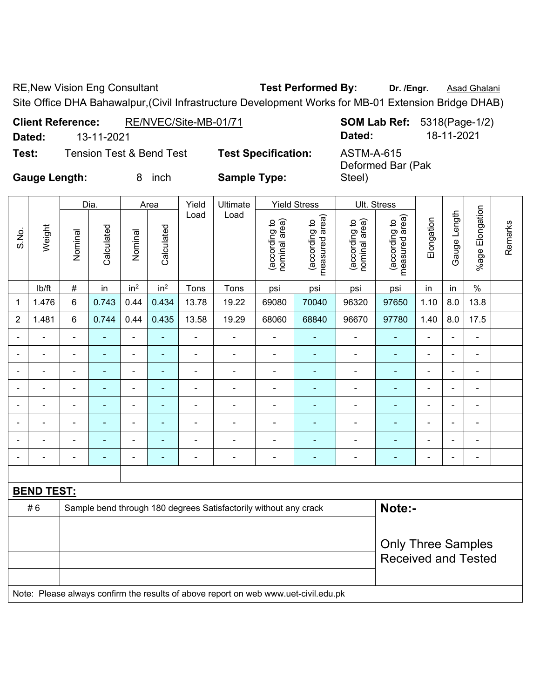RE, New Vision Eng Consultant **Test Performed By:** Dr. /Engr. **Asad Ghalani** 

Site Office DHA Bahawalpur,(Civil Infrastructure Development Works for MB-01 Extension Bridge DHAB)

| <b>Client Reference:</b> |            | RE/NVEC/Site-MB-01/71    |                            |                                 | <b>SOM Lab Ref:</b> 5318(Page-1/2) |
|--------------------------|------------|--------------------------|----------------------------|---------------------------------|------------------------------------|
| Dated:                   | 13-11-2021 |                          |                            | Dated:                          | 18-11-2021                         |
| Test:                    |            | Tension Test & Bend Test | <b>Test Specification:</b> | ASTM-A-615<br>Deformed Bar (Pak |                                    |

**Gauge Length:** 8 inch **Sample Type:** 

|                | <b>Gauge Length:</b> |                          |                          | 8               | inch                         | <b>Sample Type:</b> |                |                                |                                 | Steel)                         |                                 |                          |                          |                              |         |
|----------------|----------------------|--------------------------|--------------------------|-----------------|------------------------------|---------------------|----------------|--------------------------------|---------------------------------|--------------------------------|---------------------------------|--------------------------|--------------------------|------------------------------|---------|
|                |                      |                          | Dia.                     |                 | Area                         | Yield               | Ultimate       |                                | <b>Yield Stress</b>             | Ult. Stress                    |                                 |                          |                          |                              |         |
| S.No.          | Weight               | Nominal                  | Calculated               | Nominal         | Calculated                   | Load                | Load           | nominal area)<br>(according to | measured area)<br>(according to | nominal area)<br>(according to | measured area)<br>(according to | Elongation               | Gauge Length             | %age Elongation              | Remarks |
|                | lb/ft                | $\#$                     | in                       | in <sup>2</sup> | in <sup>2</sup>              | Tons                | Tons           | psi                            | psi                             | psi                            | psi                             | in                       | in                       | $\%$                         |         |
| 1              | 1.476                | 6                        | 0.743                    | 0.44            | 0.434                        | 13.78               | 19.22          | 69080                          | 70040                           | 96320                          | 97650                           | 1.10                     | 8.0                      | 13.8                         |         |
| $\overline{2}$ | 1.481                | 6                        | 0.744                    | 0.44            | 0.435                        | 13.58               | 19.29          | 68060                          | 68840                           | 96670                          | 97780                           | 1.40                     | 8.0                      | 17.5                         |         |
|                |                      |                          |                          | -               | $\qquad \qquad \blacksquare$ | $\blacksquare$      |                | $\blacksquare$                 | ۰                               | ۰                              |                                 | $\blacksquare$           | $\overline{\phantom{0}}$ | $\qquad \qquad \blacksquare$ |         |
|                |                      |                          |                          | $\blacksquare$  | $\blacksquare$               |                     |                | $\blacksquare$                 | ٠                               |                                |                                 |                          | $\blacksquare$           | -                            |         |
|                |                      |                          |                          | $\blacksquare$  |                              |                     |                | ۰                              |                                 |                                |                                 |                          | $\blacksquare$           | -                            |         |
|                |                      |                          |                          | ۰               |                              | -                   |                | ۰                              |                                 |                                |                                 |                          | $\overline{\phantom{0}}$ |                              |         |
|                |                      |                          | $\overline{\phantom{0}}$ | -               |                              | -                   |                | $\qquad \qquad \blacksquare$   | ۰                               |                                |                                 | -                        | $\overline{\phantom{0}}$ | -                            |         |
|                |                      | $\blacksquare$           | $\blacksquare$           | $\blacksquare$  |                              | $\blacksquare$      | $\blacksquare$ | $\overline{\phantom{0}}$       | ۰                               | $\blacksquare$                 |                                 | $\overline{\phantom{0}}$ | $\blacksquare$           | -                            |         |
|                |                      | $\overline{\phantom{0}}$ | $\overline{\phantom{0}}$ | $\blacksquare$  | ٠                            | $\blacksquare$      | ۰              | ٠                              | -                               | $\blacksquare$                 |                                 | $\blacksquare$           | $\blacksquare$           | $\blacksquare$               |         |
|                |                      |                          |                          | -               | ٠                            | -                   | -              | -                              | -                               |                                |                                 | $\overline{\phantom{0}}$ | $\overline{\phantom{0}}$ | $\blacksquare$               |         |
|                |                      |                          |                          |                 |                              |                     |                |                                |                                 |                                |                                 |                          |                          |                              |         |

| <b>BEND TEST:</b> |                                                                                     |                                                         |
|-------------------|-------------------------------------------------------------------------------------|---------------------------------------------------------|
| # 6               | Sample bend through 180 degrees Satisfactorily without any crack                    | Note:-                                                  |
|                   |                                                                                     | <b>Only Three Samples</b><br><b>Received and Tested</b> |
|                   | Note: Please always confirm the results of above report on web www.uet-civil.edu.pk |                                                         |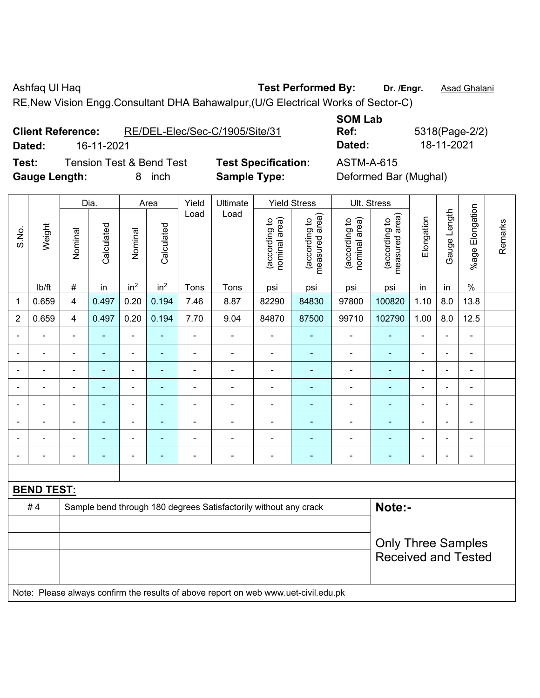Ashfaq Ul Haq **Test Performed By:** Dr. /Engr. **Asad Ghalani** 

RE,New Vision Engg.Consultant DHA Bahawalpur,(U/G Electrical Works of Sector-C)

| <b>Client Reference:</b> |            | RE/DEL-Elec/Sec-C/1905/Site/31 |
|--------------------------|------------|--------------------------------|
| Dated:                   | 16-11-2021 |                                |

**Test:** Tension Test & Bend Test **Test Specification:** ASTM-A-615 **Gauge Length:** 8 inch **Sample Type:** Deformed Bar (Mughal)

**SOM Lab Ref:** 5318(Page-2/2) **Dated:** 16-11-2021 **Dated:** 18-11-2021

|                |                   |                                                                                     | Dia.           |                 | Area            | Yield          | Ultimate                                                         |                                | <b>Yield Stress</b>             |                                | Ult. Stress                     |                |                |                                                         |         |
|----------------|-------------------|-------------------------------------------------------------------------------------|----------------|-----------------|-----------------|----------------|------------------------------------------------------------------|--------------------------------|---------------------------------|--------------------------------|---------------------------------|----------------|----------------|---------------------------------------------------------|---------|
| S.No.          | Weight            | Nominal                                                                             | Calculated     | Nominal         | Calculated      | Load           | Load                                                             | nominal area)<br>(according to | (according to<br>measured area) | nominal area)<br>(according to | (according to<br>measured area) | Elongation     | Gauge Length   | %age Elongation                                         | Remarks |
|                | lb/ft             | $\#$                                                                                | in             | in <sup>2</sup> | in <sup>2</sup> | Tons           | Tons                                                             | psi                            | psi                             | psi                            | psi                             | in             | in             | $\%$                                                    |         |
| 1              | 0.659             | $\overline{4}$                                                                      | 0.497          | 0.20            | 0.194           | 7.46           | 8.87                                                             | 82290                          | 84830                           | 97800                          | 100820                          | 1.10           | 8.0            | 13.8                                                    |         |
| $\overline{2}$ | 0.659             | $\overline{4}$                                                                      | 0.497          | 0.20            | 0.194           | 7.70           | 9.04                                                             | 84870                          | 87500                           | 99710                          | 102790                          | 1.00           | 8.0            | 12.5                                                    |         |
| $\blacksquare$ | $\blacksquare$    | $\blacksquare$                                                                      | $\blacksquare$ | $\blacksquare$  | ä,              | $\blacksquare$ | $\blacksquare$                                                   | $\blacksquare$                 | $\blacksquare$                  | ÷                              | $\blacksquare$                  | ä,             | $\blacksquare$ | $\blacksquare$                                          |         |
| $\blacksquare$ | $\blacksquare$    | $\blacksquare$                                                                      | $\blacksquare$ | $\blacksquare$  | ۰               | $\blacksquare$ | $\blacksquare$                                                   | $\overline{\phantom{a}}$       | $\blacksquare$                  | $\blacksquare$                 | $\blacksquare$                  | $\blacksquare$ | $\blacksquare$ | ÷,                                                      |         |
| $\blacksquare$ | $\blacksquare$    | $\blacksquare$                                                                      | $\blacksquare$ | $\blacksquare$  | ۰               | $\blacksquare$ | $\blacksquare$                                                   | $\blacksquare$                 | $\blacksquare$                  | $\blacksquare$                 | $\blacksquare$                  | $\blacksquare$ | $\blacksquare$ | $\blacksquare$                                          |         |
| $\blacksquare$ | Ē,                | $\blacksquare$                                                                      | $\blacksquare$ | $\blacksquare$  | ۰               | $\blacksquare$ | ÷.                                                               | $\blacksquare$                 |                                 | $\blacksquare$                 | ä,                              | Ē,             |                | $\blacksquare$                                          |         |
|                |                   | $\blacksquare$                                                                      | $\blacksquare$ | $\blacksquare$  | $\blacksquare$  | $\blacksquare$ | $\blacksquare$                                                   | $\blacksquare$                 | $\blacksquare$                  | $\overline{\phantom{a}}$       | $\blacksquare$                  | $\blacksquare$ |                | $\blacksquare$                                          |         |
|                |                   | $\blacksquare$                                                                      |                |                 |                 |                | $\blacksquare$                                                   | $\blacksquare$                 |                                 |                                |                                 |                |                |                                                         |         |
| $\blacksquare$ |                   | $\qquad \qquad \blacksquare$                                                        | $\blacksquare$ |                 | ۰               |                | ۰                                                                | $\overline{\phantom{0}}$       | $\blacksquare$                  | $\overline{\phantom{0}}$       | ٠                               | $\blacksquare$ |                | $\blacksquare$                                          |         |
| $\blacksquare$ | Ē,                | $\blacksquare$                                                                      | $\blacksquare$ | $\blacksquare$  | ä,              | $\blacksquare$ | $\frac{1}{2}$                                                    | $\blacksquare$                 | $\blacksquare$                  | $\blacksquare$                 | $\blacksquare$                  | $\blacksquare$ | L,             | ÷,                                                      |         |
|                |                   |                                                                                     |                |                 |                 |                |                                                                  |                                |                                 |                                |                                 |                |                |                                                         |         |
|                | <b>BEND TEST:</b> |                                                                                     |                |                 |                 |                |                                                                  |                                |                                 |                                |                                 |                |                |                                                         |         |
|                | #4                |                                                                                     |                |                 |                 |                | Sample bend through 180 degrees Satisfactorily without any crack |                                |                                 |                                | Note:-                          |                |                |                                                         |         |
|                |                   |                                                                                     |                |                 |                 |                |                                                                  |                                |                                 |                                |                                 |                |                |                                                         |         |
|                |                   |                                                                                     |                |                 |                 |                |                                                                  |                                |                                 |                                |                                 |                |                | <b>Only Three Samples</b><br><b>Received and Tested</b> |         |
|                |                   | Note: Please always confirm the results of above report on web www.uet-civil.edu.pk |                |                 |                 |                |                                                                  |                                |                                 |                                |                                 |                |                |                                                         |         |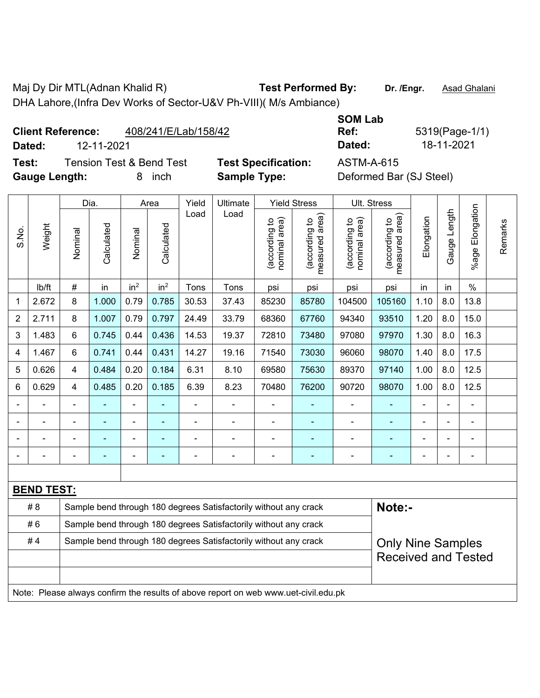Maj Dy Dir MTL(Adnan Khalid R) **Test Performed By:** Dr. /Engr. **Asad Ghalani** DHA Lahore,(Infra Dev Works of Sector-U&V Ph-VIII)( M/s Ambiance)

## **Client Reference:** 408/241/E/Lab/158/42

**Dated:** 12-11-2021 **Dated:** 18-11-2021

**Test:** Tension Test & Bend Test **Test Specification:** ASTM-A-615 **Gauge Length:** 8 inch **Sample Type:** Deformed Bar (SJ Steel)

|             | Date |
|-------------|------|
| cification: | ASTN |
|             |      |

**Ref:** 5319(Page-1/1)

**SOM Lab** 

|                                                                        |                   |                | Dia.                     |                 | Area            | Yield          | Ultimate                                                                            | <b>Yield Stress</b>            |                                 | Ult. Stress                    |                                    |                |                |                          |         |
|------------------------------------------------------------------------|-------------------|----------------|--------------------------|-----------------|-----------------|----------------|-------------------------------------------------------------------------------------|--------------------------------|---------------------------------|--------------------------------|------------------------------------|----------------|----------------|--------------------------|---------|
| S.No.                                                                  | Weight            | Nominal        | Calculated               | Nominal         | Calculated      | Load           | Load                                                                                | (according to<br>nominal area) | (according to<br>measured area) | nominal area)<br>(according to | area)<br>(according to<br>neasured | Elongation     | Gauge Length   | Elongation<br>$%$ age    | Remarks |
|                                                                        | lb/ft             | #              | in                       | in <sup>2</sup> | in <sup>2</sup> | Tons           | Tons                                                                                | psi                            | psi                             | psi                            | psi                                | in             | in             | $\%$                     |         |
| 1                                                                      | 2.672             | 8              | 1.000                    | 0.79            | 0.785           | 30.53          | 37.43                                                                               | 85230                          | 85780                           | 104500                         | 105160                             | 1.10           | 8.0            | 13.8                     |         |
| $\overline{2}$                                                         | 2.711             | 8              | 1.007                    | 0.79            | 0.797           | 24.49          | 33.79                                                                               | 68360                          | 67760                           | 94340                          | 93510                              | 1.20           | 8.0            | 15.0                     |         |
| 3                                                                      | 1.483             | 6              | 0.745                    | 0.44            | 0.436           | 14.53          | 19.37                                                                               | 72810                          | 73480                           | 97080                          | 97970                              | 1.30           | 8.0            | 16.3                     |         |
| 4                                                                      | 1.467             | 6              | 0.741                    | 0.44            | 0.431           | 14.27          | 19.16                                                                               | 71540                          | 73030                           | 96060                          | 98070                              | 1.40           | 8.0            | 17.5                     |         |
| 5                                                                      | 0.626             | $\overline{4}$ | 0.484                    | 0.20            | 0.184           | 6.31           | 8.10                                                                                | 69580                          | 75630                           | 89370                          | 97140                              | 1.00           | 8.0            | 12.5                     |         |
| 6                                                                      | 0.629             | $\overline{4}$ | 0.485                    | 0.20            | 0.185           | 6.39           | 8.23                                                                                | 70480                          | 76200                           | 90720                          | 98070                              | 1.00           | 8.0            | 12.5                     |         |
|                                                                        |                   | ÷              | ÷,                       |                 |                 | $\blacksquare$ | $\blacksquare$                                                                      | $\blacksquare$                 |                                 | $\blacksquare$                 |                                    | ÷,             | $\blacksquare$ | $\blacksquare$           |         |
|                                                                        |                   |                |                          |                 |                 |                |                                                                                     | $\blacksquare$                 |                                 |                                |                                    |                |                |                          |         |
|                                                                        |                   |                |                          |                 |                 |                |                                                                                     | $\blacksquare$                 | $\blacksquare$                  |                                |                                    | $\overline{a}$ |                |                          |         |
|                                                                        |                   | $\blacksquare$ | $\overline{\phantom{0}}$ | ۰               |                 |                | $\blacksquare$                                                                      | $\blacksquare$                 | $\overline{\phantom{0}}$        | $\blacksquare$                 | $\blacksquare$                     | -              | $\blacksquare$ | $\overline{\phantom{0}}$ |         |
|                                                                        |                   |                |                          |                 |                 |                |                                                                                     |                                |                                 |                                |                                    |                |                |                          |         |
|                                                                        | <b>BEND TEST:</b> |                |                          |                 |                 |                |                                                                                     |                                |                                 |                                |                                    |                |                |                          |         |
|                                                                        | # 8               |                |                          |                 |                 |                | Sample bend through 180 degrees Satisfactorily without any crack                    |                                |                                 |                                | Note:-                             |                |                |                          |         |
|                                                                        | #6                |                |                          |                 |                 |                | Sample bend through 180 degrees Satisfactorily without any crack                    |                                |                                 |                                |                                    |                |                |                          |         |
| Sample bend through 180 degrees Satisfactorily without any crack<br>#4 |                   |                |                          |                 |                 |                |                                                                                     |                                |                                 |                                | <b>Only Nine Samples</b>           |                |                |                          |         |
|                                                                        |                   |                |                          |                 |                 |                |                                                                                     |                                |                                 | <b>Received and Tested</b>     |                                    |                |                |                          |         |
|                                                                        |                   |                |                          |                 |                 |                |                                                                                     |                                |                                 |                                |                                    |                |                |                          |         |
|                                                                        |                   |                |                          |                 |                 |                | Note: Please always confirm the results of above report on web www.uet-civil.edu.pk |                                |                                 |                                |                                    |                |                |                          |         |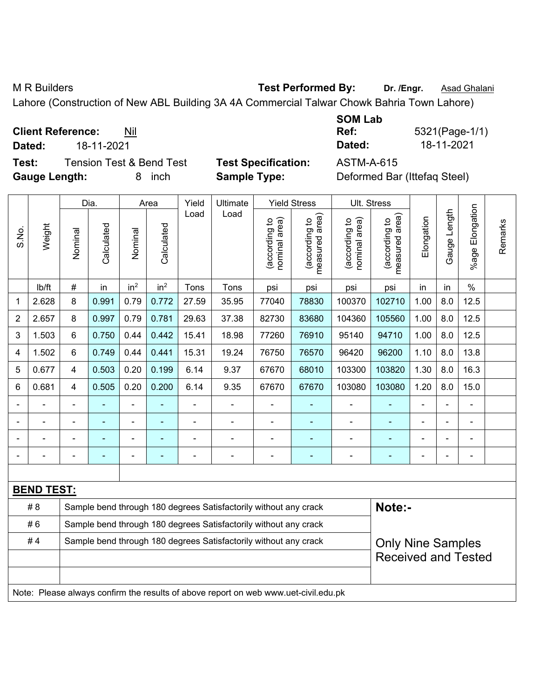M R Builders **Test Performed By:** Dr. /Engr. **Asad Ghalani** CH R Builders Assembly Dr. *Asad Ghalani* 

Lahore (Construction of New ABL Building 3A 4A Commercial Talwar Chowk Bahria Town Lahore)

| <b>Client Reference:</b> | Nil |
|--------------------------|-----|
|--------------------------|-----|

**Dated:** 18-11-2021 **Dated:** 18-11-2021

**Test:** Tension Test & Bend Test **Test Specification:** ASTM-A-615 **Gauge Length:** 8 inch **Sample Type:** Deformed Bar (Ittefaq Steel)

| <b>SOM Lab</b> |                |
|----------------|----------------|
| Ref:           | 5321(Page-1/1) |
| Dated:         | 18-11-2021     |

|                                                                        |                   | Dia.    |                | Area            |                 | Yield | Ultimate                                                                            | <b>Yield Stress</b>           |                                 | Ult. Stress                    |                                 |                |              |                          |         |
|------------------------------------------------------------------------|-------------------|---------|----------------|-----------------|-----------------|-------|-------------------------------------------------------------------------------------|-------------------------------|---------------------------------|--------------------------------|---------------------------------|----------------|--------------|--------------------------|---------|
| S.No.                                                                  | Weight            | Nominal | Calculated     | Nominal         | Calculated      | Load  | Load                                                                                | nominal area)<br>according to | (according to<br>measured area) | (according to<br>nominal area) | measured area)<br>(according to | Elongation     | Gauge Length | Elongation<br>$%$ age    | Remarks |
|                                                                        | Ib/ft             | #       | in             | in <sup>2</sup> | in <sup>2</sup> | Tons  | Tons                                                                                | psi                           | psi                             | psi                            | psi                             | in             | in           | $\%$                     |         |
| 1                                                                      | 2.628             | 8       | 0.991          | 0.79            | 0.772           | 27.59 | 35.95                                                                               | 77040                         | 78830                           | 100370                         | 102710                          | 1.00           | 8.0          | 12.5                     |         |
| $\overline{2}$                                                         | 2.657             | 8       | 0.997          | 0.79            | 0.781           | 29.63 | 37.38                                                                               | 82730                         | 83680                           | 104360                         | 105560                          | 1.00           | 8.0          | 12.5                     |         |
| 3                                                                      | 1.503             | 6       | 0.750          | 0.44            | 0.442           | 15.41 | 18.98                                                                               | 77260                         | 76910                           | 95140                          | 94710                           | 1.00           | 8.0          | 12.5                     |         |
| 4                                                                      | 1.502             | 6       | 0.749          | 0.44            | 0.441           | 15.31 | 19.24                                                                               | 76750                         | 76570                           | 96420                          | 96200                           | 1.10           | 8.0          | 13.8                     |         |
| 5                                                                      | 0.677             | 4       | 0.503          | 0.20            | 0.199           | 6.14  | 9.37                                                                                | 67670                         | 68010                           | 103300                         | 103820                          | 1.30           | 8.0          | 16.3                     |         |
| 6                                                                      | 0.681             | 4       | 0.505          | 0.20            | 0.200           | 6.14  | 9.35                                                                                | 67670                         | 67670                           | 103080                         | 103080                          | 1.20           | 8.0          | 15.0                     |         |
|                                                                        |                   |         | $\blacksquare$ | $\blacksquare$  |                 | ÷,    | $\frac{1}{2}$                                                                       |                               |                                 | $\blacksquare$                 | $\qquad \qquad \blacksquare$    | $\blacksquare$ |              | $\blacksquare$           |         |
|                                                                        | ÷                 |         | ÷,             | $\blacksquare$  |                 |       | ÷                                                                                   | $\overline{a}$                | ۰                               | $\blacksquare$                 | ä,                              |                |              | ä,                       |         |
|                                                                        |                   |         |                |                 |                 |       | $\blacksquare$                                                                      |                               | ۰                               |                                | ۰                               |                |              | ÷                        |         |
|                                                                        |                   |         |                |                 |                 |       |                                                                                     |                               |                                 |                                |                                 |                |              | $\overline{\phantom{0}}$ |         |
|                                                                        |                   |         |                |                 |                 |       |                                                                                     |                               |                                 |                                |                                 |                |              |                          |         |
|                                                                        | <b>BEND TEST:</b> |         |                |                 |                 |       |                                                                                     |                               |                                 |                                |                                 |                |              |                          |         |
|                                                                        | # 8               |         |                |                 |                 |       | Sample bend through 180 degrees Satisfactorily without any crack                    |                               |                                 |                                | Note:-                          |                |              |                          |         |
|                                                                        | #6                |         |                |                 |                 |       | Sample bend through 180 degrees Satisfactorily without any crack                    |                               |                                 |                                |                                 |                |              |                          |         |
| #4<br>Sample bend through 180 degrees Satisfactorily without any crack |                   |         |                |                 |                 |       |                                                                                     |                               |                                 |                                | <b>Only Nine Samples</b>        |                |              |                          |         |
|                                                                        |                   |         |                |                 |                 |       |                                                                                     |                               | <b>Received and Tested</b>      |                                |                                 |                |              |                          |         |
|                                                                        |                   |         |                |                 |                 |       | Note: Please always confirm the results of above report on web www.uet-civil.edu.pk |                               |                                 |                                |                                 |                |              |                          |         |